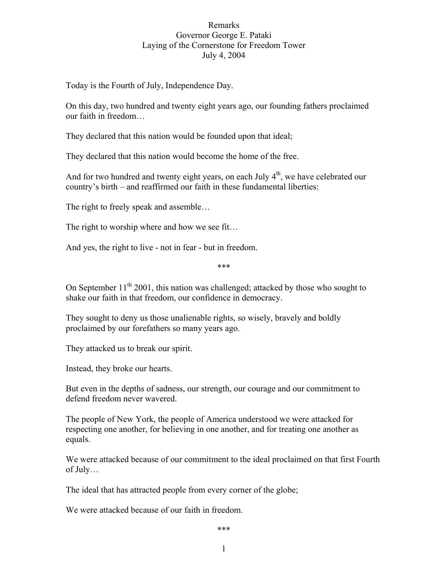## Remarks Governor George E. Pataki Laying of the Cornerstone for Freedom Tower July 4, 2004

Today is the Fourth of July, Independence Day.

On this day, two hundred and twenty eight years ago, our founding fathers proclaimed our faith in freedom…

They declared that this nation would be founded upon that ideal;

They declared that this nation would become the home of the free.

And for two hundred and twenty eight years, on each July  $4<sup>th</sup>$ , we have celebrated our country's birth – and reaffirmed our faith in these fundamental liberties:

The right to freely speak and assemble…

The right to worship where and how we see fit…

And yes, the right to live - not in fear - but in freedom.

\*\*\*

On September  $11<sup>th</sup> 2001$ , this nation was challenged; attacked by those who sought to shake our faith in that freedom, our confidence in democracy.

They sought to deny us those unalienable rights, so wisely, bravely and boldly proclaimed by our forefathers so many years ago.

They attacked us to break our spirit.

Instead, they broke our hearts.

But even in the depths of sadness, our strength, our courage and our commitment to defend freedom never wavered.

The people of New York, the people of America understood we were attacked for respecting one another, for believing in one another, and for treating one another as equals.

We were attacked because of our commitment to the ideal proclaimed on that first Fourth of July…

The ideal that has attracted people from every corner of the globe;

We were attacked because of our faith in freedom.

\*\*\*